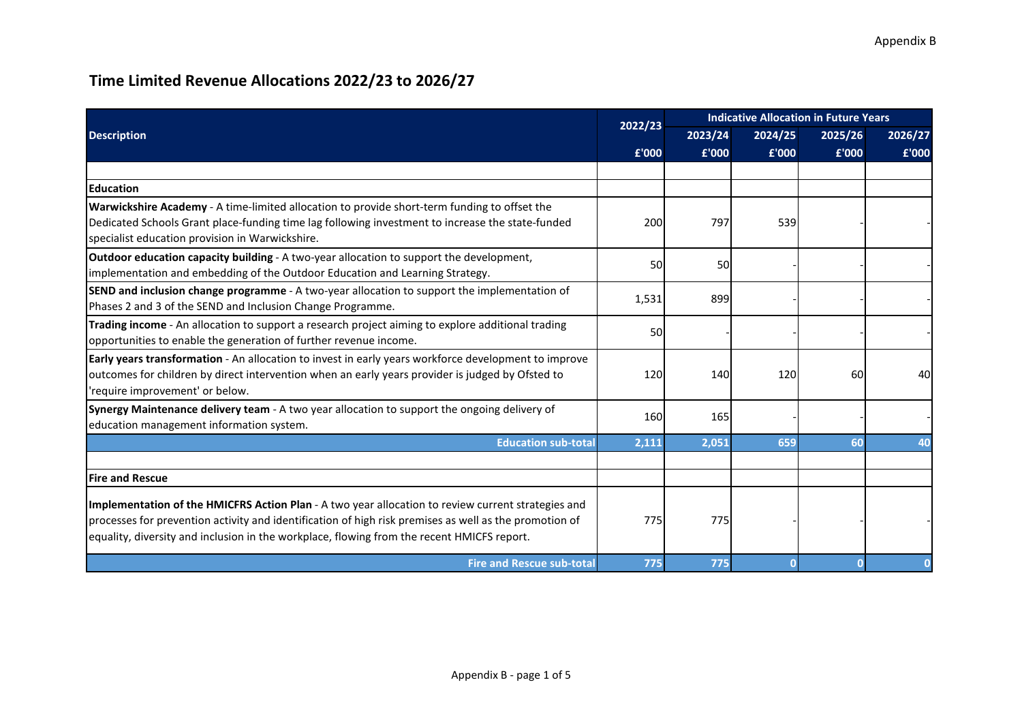| <b>Description</b>                                                                                                                                                                                                                                                                                         |         | <b>Indicative Allocation in Future Years</b> |         |           |         |
|------------------------------------------------------------------------------------------------------------------------------------------------------------------------------------------------------------------------------------------------------------------------------------------------------------|---------|----------------------------------------------|---------|-----------|---------|
|                                                                                                                                                                                                                                                                                                            | 2022/23 | 2023/24                                      | 2024/25 | 2025/26   | 2026/27 |
|                                                                                                                                                                                                                                                                                                            | £'000   | £'000                                        | £'000   | £'000     | £'000   |
|                                                                                                                                                                                                                                                                                                            |         |                                              |         |           |         |
| <b>Education</b>                                                                                                                                                                                                                                                                                           |         |                                              |         |           |         |
| Warwickshire Academy - A time-limited allocation to provide short-term funding to offset the<br>Dedicated Schools Grant place-funding time lag following investment to increase the state-funded<br>specialist education provision in Warwickshire.                                                        | 200     | 797                                          | 539     |           |         |
| Outdoor education capacity building - A two-year allocation to support the development,<br>implementation and embedding of the Outdoor Education and Learning Strategy.                                                                                                                                    | 50      | <b>50</b>                                    |         |           |         |
| <b>SEND and inclusion change programme</b> - A two-year allocation to support the implementation of<br>Phases 2 and 3 of the SEND and Inclusion Change Programme.                                                                                                                                          | 1,531   | 899                                          |         |           |         |
| Trading income - An allocation to support a research project aiming to explore additional trading<br>opportunities to enable the generation of further revenue income.                                                                                                                                     | 50      |                                              |         |           |         |
| Early years transformation - An allocation to invest in early years workforce development to improve<br>outcomes for children by direct intervention when an early years provider is judged by Ofsted to<br>'require improvement' or below.                                                                | 120     | 140                                          | 120     | <b>60</b> | 40      |
| Synergy Maintenance delivery team - A two year allocation to support the ongoing delivery of<br>education management information system.                                                                                                                                                                   | 160     | 165                                          |         |           |         |
| <b>Education sub-total</b>                                                                                                                                                                                                                                                                                 | 2,111   | 2,051                                        | 659     | 60        | 40      |
| <b>Fire and Rescue</b>                                                                                                                                                                                                                                                                                     |         |                                              |         |           |         |
| Implementation of the HMICFRS Action Plan - A two year allocation to review current strategies and<br>processes for prevention activity and identification of high risk premises as well as the promotion of<br>equality, diversity and inclusion in the workplace, flowing from the recent HMICFS report. | 775     | 775                                          |         |           |         |
| <b>Fire and Rescue sub-total</b>                                                                                                                                                                                                                                                                           | 775     | 775                                          |         |           |         |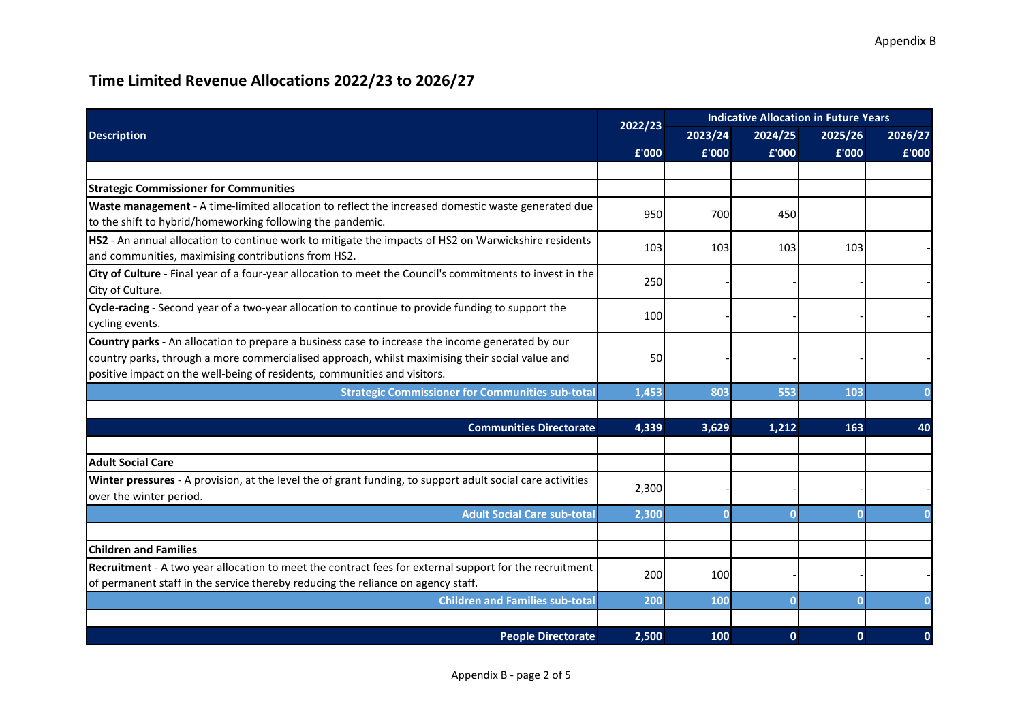|                                                                                                                                                                                                                                                                                  | 2022/23 | <b>Indicative Allocation in Future Years</b> |             |              |         |
|----------------------------------------------------------------------------------------------------------------------------------------------------------------------------------------------------------------------------------------------------------------------------------|---------|----------------------------------------------|-------------|--------------|---------|
| <b>Description</b>                                                                                                                                                                                                                                                               |         | 2023/24                                      | 2024/25     | 2025/26      | 2026/27 |
|                                                                                                                                                                                                                                                                                  | £'000   | £'000                                        | £'000       | £'000        | £'000   |
|                                                                                                                                                                                                                                                                                  |         |                                              |             |              |         |
| <b>Strategic Commissioner for Communities</b>                                                                                                                                                                                                                                    |         |                                              |             |              |         |
| Waste management - A time-limited allocation to reflect the increased domestic waste generated due<br>to the shift to hybrid/homeworking following the pandemic.                                                                                                                 | 950     | 700                                          | 450l        |              |         |
| HS2 - An annual allocation to continue work to mitigate the impacts of HS2 on Warwickshire residents<br>and communities, maximising contributions from HS2.                                                                                                                      | 103     | 103                                          | 103         | 103          |         |
| City of Culture - Final year of a four-year allocation to meet the Council's commitments to invest in the<br>City of Culture.                                                                                                                                                    | 250     |                                              |             |              |         |
| Cycle-racing - Second year of a two-year allocation to continue to provide funding to support the<br>cycling events.                                                                                                                                                             | 100     |                                              |             |              |         |
| Country parks - An allocation to prepare a business case to increase the income generated by our<br>country parks, through a more commercialised approach, whilst maximising their social value and<br>positive impact on the well-being of residents, communities and visitors. | 50      |                                              |             |              |         |
| <b>Strategic Commissioner for Communities sub-total</b>                                                                                                                                                                                                                          | 1,453   | 803                                          | 553         | 103          |         |
|                                                                                                                                                                                                                                                                                  |         |                                              |             |              |         |
| <b>Communities Directorate</b>                                                                                                                                                                                                                                                   | 4,339   | 3,629                                        | 1,212       | 163          | 40      |
|                                                                                                                                                                                                                                                                                  |         |                                              |             |              |         |
| <b>Adult Social Care</b>                                                                                                                                                                                                                                                         |         |                                              |             |              |         |
| Winter pressures - A provision, at the level the of grant funding, to support adult social care activities<br>over the winter period.                                                                                                                                            | 2,300   |                                              |             |              |         |
| <b>Adult Social Care sub-total</b>                                                                                                                                                                                                                                               | 2,300   | $\Omega$                                     |             |              |         |
|                                                                                                                                                                                                                                                                                  |         |                                              |             |              |         |
| <b>Children and Families</b>                                                                                                                                                                                                                                                     |         |                                              |             |              |         |
| Recruitment - A two year allocation to meet the contract fees for external support for the recruitment<br>of permanent staff in the service thereby reducing the reliance on agency staff.                                                                                       | 200     | 100                                          |             |              |         |
| <b>Children and Families sub-total</b>                                                                                                                                                                                                                                           | 200     | 100                                          | $\Omega$    |              |         |
|                                                                                                                                                                                                                                                                                  |         |                                              |             |              |         |
| <b>People Directorate</b>                                                                                                                                                                                                                                                        | 2,500   | 100                                          | $\mathbf 0$ | $\mathbf{0}$ | 0       |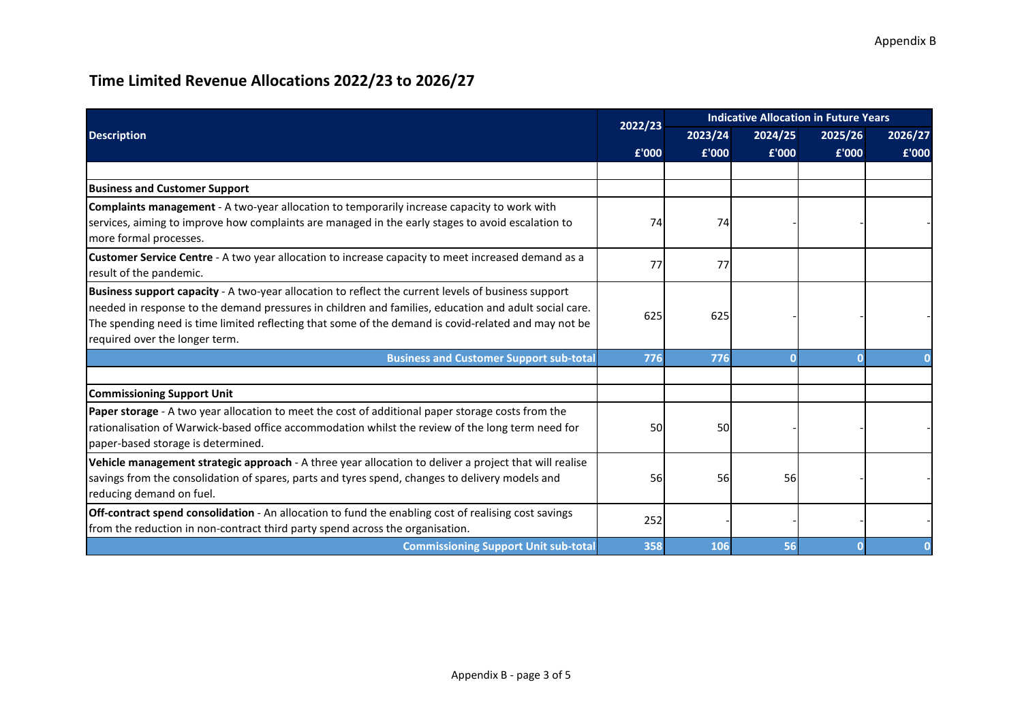| <b>Description</b>                                                                                                                                                                                                                                                                                                                                     |         |         | <b>Indicative Allocation in Future Years</b> |         |         |  |
|--------------------------------------------------------------------------------------------------------------------------------------------------------------------------------------------------------------------------------------------------------------------------------------------------------------------------------------------------------|---------|---------|----------------------------------------------|---------|---------|--|
|                                                                                                                                                                                                                                                                                                                                                        | 2022/23 | 2023/24 | 2024/25                                      | 2025/26 | 2026/27 |  |
|                                                                                                                                                                                                                                                                                                                                                        | £'000   | £'000   | £'000                                        | £'000   | £'000   |  |
|                                                                                                                                                                                                                                                                                                                                                        |         |         |                                              |         |         |  |
| <b>Business and Customer Support</b>                                                                                                                                                                                                                                                                                                                   |         |         |                                              |         |         |  |
| Complaints management - A two-year allocation to temporarily increase capacity to work with<br>services, aiming to improve how complaints are managed in the early stages to avoid escalation to<br>more formal processes.                                                                                                                             | 74      | 74      |                                              |         |         |  |
| Customer Service Centre - A two year allocation to increase capacity to meet increased demand as a<br>result of the pandemic.                                                                                                                                                                                                                          | 77      | 77      |                                              |         |         |  |
| Business support capacity - A two-year allocation to reflect the current levels of business support<br>needed in response to the demand pressures in children and families, education and adult social care.<br>The spending need is time limited reflecting that some of the demand is covid-related and may not be<br>required over the longer term. | 625     | 625     |                                              |         |         |  |
| <b>Business and Customer Support sub-total</b>                                                                                                                                                                                                                                                                                                         | 776     | 776     |                                              |         |         |  |
|                                                                                                                                                                                                                                                                                                                                                        |         |         |                                              |         |         |  |
| <b>Commissioning Support Unit</b>                                                                                                                                                                                                                                                                                                                      |         |         |                                              |         |         |  |
| Paper storage - A two year allocation to meet the cost of additional paper storage costs from the<br>rationalisation of Warwick-based office accommodation whilst the review of the long term need for<br>paper-based storage is determined.                                                                                                           | 50      | 50      |                                              |         |         |  |
| Vehicle management strategic approach - A three year allocation to deliver a project that will realise<br>savings from the consolidation of spares, parts and tyres spend, changes to delivery models and<br>reducing demand on fuel.                                                                                                                  | 56      | 56      | 56                                           |         |         |  |
| Off-contract spend consolidation - An allocation to fund the enabling cost of realising cost savings<br>from the reduction in non-contract third party spend across the organisation.                                                                                                                                                                  | 252     |         |                                              |         |         |  |
| <b>Commissioning Support Unit sub-total</b>                                                                                                                                                                                                                                                                                                            | 358     | 106     | 56                                           |         |         |  |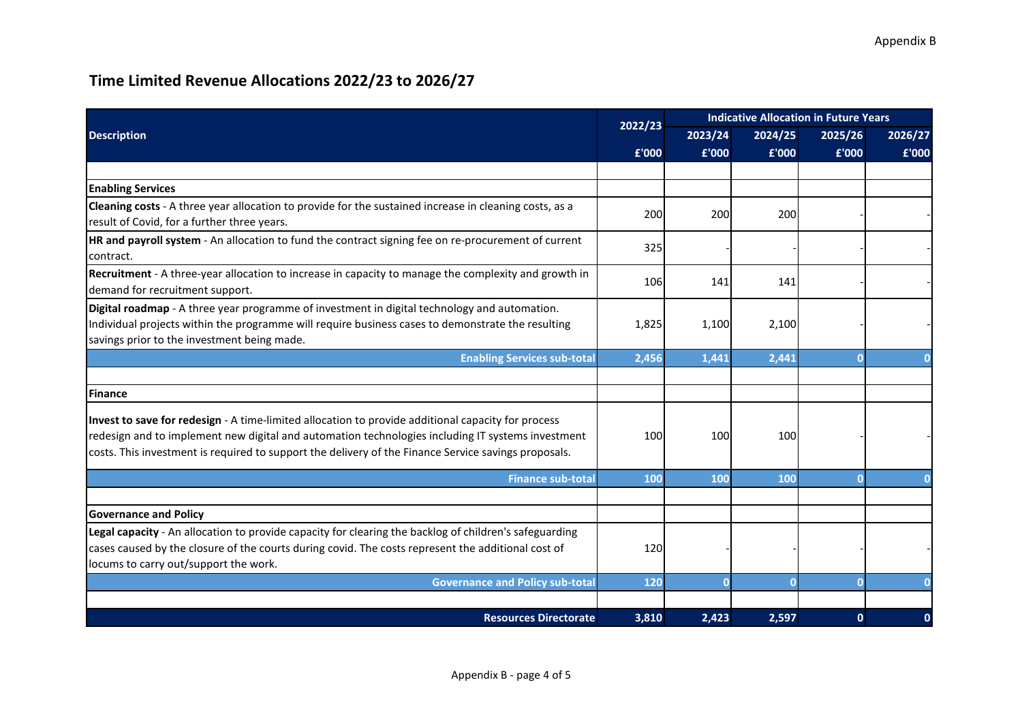|                                                                                                                                                                                                                                                                                                                 | 2022/23 | <b>Indicative Allocation in Future Years</b> |         |              |         |
|-----------------------------------------------------------------------------------------------------------------------------------------------------------------------------------------------------------------------------------------------------------------------------------------------------------------|---------|----------------------------------------------|---------|--------------|---------|
| <b>Description</b>                                                                                                                                                                                                                                                                                              |         | 2023/24                                      | 2024/25 | 2025/26      | 2026/27 |
|                                                                                                                                                                                                                                                                                                                 | £'000   | £'000                                        | £'000   | £'000        | £'000   |
|                                                                                                                                                                                                                                                                                                                 |         |                                              |         |              |         |
| <b>Enabling Services</b>                                                                                                                                                                                                                                                                                        |         |                                              |         |              |         |
| Cleaning costs - A three year allocation to provide for the sustained increase in cleaning costs, as a<br>result of Covid, for a further three years.                                                                                                                                                           | 200     | 200                                          | 200     |              |         |
| HR and payroll system - An allocation to fund the contract signing fee on re-procurement of current<br>contract.                                                                                                                                                                                                | 325     |                                              |         |              |         |
| Recruitment - A three-year allocation to increase in capacity to manage the complexity and growth in<br>demand for recruitment support.                                                                                                                                                                         | 106     | 141                                          | 141     |              |         |
| Digital roadmap - A three year programme of investment in digital technology and automation.<br>Individual projects within the programme will require business cases to demonstrate the resulting<br>savings prior to the investment being made.                                                                | 1,825   | 1,100                                        | 2,100   |              |         |
| <b>Enabling Services sub-total</b>                                                                                                                                                                                                                                                                              | 2,456   | 1,441                                        | 2,441   |              |         |
|                                                                                                                                                                                                                                                                                                                 |         |                                              |         |              |         |
| Finance                                                                                                                                                                                                                                                                                                         |         |                                              |         |              |         |
| Invest to save for redesign - A time-limited allocation to provide additional capacity for process<br>redesign and to implement new digital and automation technologies including IT systems investment<br>costs. This investment is required to support the delivery of the Finance Service savings proposals. | 100     | 100                                          | 100     |              |         |
| <b>Finance sub-total</b>                                                                                                                                                                                                                                                                                        | 100     | 100                                          | 100     |              |         |
|                                                                                                                                                                                                                                                                                                                 |         |                                              |         |              |         |
| <b>Governance and Policy</b>                                                                                                                                                                                                                                                                                    |         |                                              |         |              |         |
| Legal capacity - An allocation to provide capacity for clearing the backlog of children's safeguarding<br>cases caused by the closure of the courts during covid. The costs represent the additional cost of<br>locums to carry out/support the work.                                                           | 120     |                                              |         |              |         |
| <b>Governance and Policy sub-total</b>                                                                                                                                                                                                                                                                          | 120     | $\Omega$                                     |         |              |         |
| <b>Resources Directorate</b>                                                                                                                                                                                                                                                                                    | 3,810   | 2,423                                        | 2,597   | $\mathbf{0}$ | 0       |